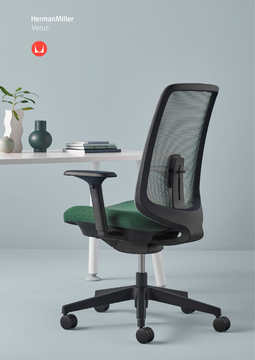HermanMiller

 $\overline{0}$ 

 $\circ$ 

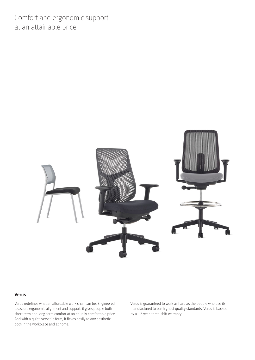Comfort and ergonomic support at an attainable price



## **Verus**

Verus redefines what an affordable work chair can be. Engineered to assure ergonomic alignment and support, it gives people both short-term and long-term comfort at an equally comfortable price. And with a quiet, versatile form, it flexes easily to any aesthetic both in the workplace and at home.

Verus is guaranteed to work as hard as the people who use it: manufactured to our highest quality standards, Verus is backed by a 12-year, three-shift warranty.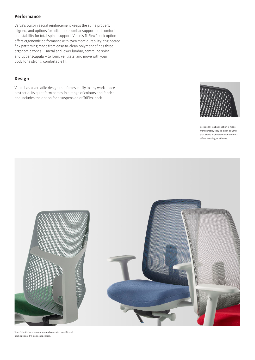# **Performance**

Verus's built-in sacral reinforcement keeps the spine properly aligned, and options for adjustable lumbar support add comfort and stability for total spinal support. Verus's TriFlex™ back option offers ergonomic performance with even more durability: engineered flex patterning made from easy-to-clean polymer defines three ergonomic zones – sacral and lower lumbar, centreline spine, and upper scapula – to form, ventilate, and move with your body for a strong, comfortable fit.

## **Design**

Verus has a versatile design that flexes easily to any work space aesthetic. Its quiet form comes in a range of colours and fabrics and includes the option for a suspension or TriFlex back.



Verus's TriFlex back option is made from durable, easy-to-clean polymer that excels in any work environment – office, learning, or at home.



Verus's built-in ergonomic support comes in two different back options: TriFlex or suspension.